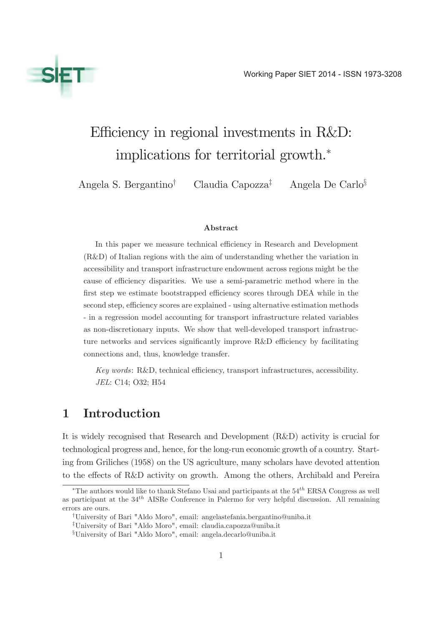

# Efficiency in regional investments in R&D: implications for territorial growth.<sup>∗</sup>

Angela S. Bergantino† Claudia Capozza‡ Angela De Carlo§

#### Abstract

In this paper we measure technical efficiency in Research and Development (R&D) of Italian regions with the aim of understanding whether the variation in accessibility and transport infrastructure endowment across regions might be the cause of efficiency disparities. We use a semi-parametric method where in the first step we estimate bootstrapped efficiency scores through DEA while in the second step, efficiency scores are explained - using alternative estimation methods - in a regression model accounting for transport infrastructure related variables as non-discretionary inputs. We show that well-developed transport infrastructure networks and services significantly improve R&D efficiency by facilitating connections and, thus, knowledge transfer.

Key words: R&D, technical efficiency, transport infrastructures, accessibility. JEL: C14; O32; H54

# 1 Introduction

It is widely recognised that Research and Development (R&D) activity is crucial for technological progress and, hence, for the long-run economic growth of a country. Starting from Griliches (1958) on the US agriculture, many scholars have devoted attention to the effects of R&D activity on growth. Among the others, Archibald and Pereira

<sup>\*</sup>The authors would like to thank Stefano Usai and participants at the  $54<sup>th</sup>$  ERSA Congress as well as participant at the  $34<sup>th</sup>$  AISRe Conference in Palermo for very helpful discussion. All remaining errors are ours.

<sup>†</sup>University of Bari "Aldo Moro", email: angelastefania.bergantino@uniba.it

<sup>‡</sup>University of Bari "Aldo Moro", email: claudia.capozza@uniba.it

<sup>§</sup>University of Bari "Aldo Moro", email: angela.decarlo@uniba.it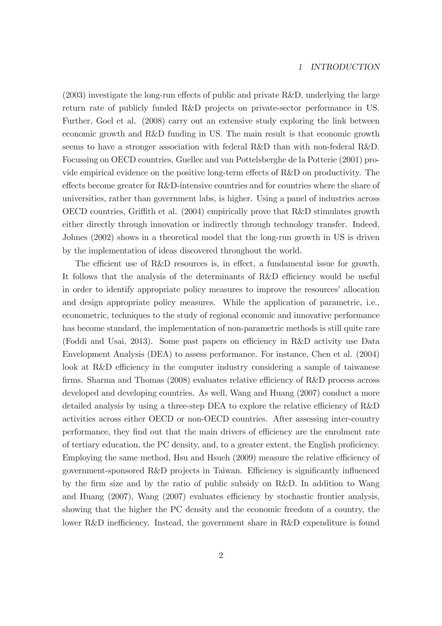#### 1 INTRODUCTION

(2003) investigate the long-run effects of public and private R&D, underlying the large return rate of publicly funded R&D projects on private-sector performance in US. Further, Goel et al. (2008) carry out an extensive study exploring the link between economic growth and R&D funding in US. The main result is that economic growth seems to have a stronger association with federal R&D than with non-federal R&D. Focussing on OECD countries, Guellec and van Pottelsberghe de la Potterie (2001) provide empirical evidence on the positive long-term effects of R&D on productivity. The effects become greater for R&D-intensive countries and for countries where the share of universities, rather than government labs, is higher. Using a panel of industries across OECD countries, Griffith et al. (2004) empirically prove that R&D stimulates growth either directly through innovation or indirectly through technology transfer. Indeed, Johnes (2002) shows in a theoretical model that the long-run growth in US is driven by the implementation of ideas discovered throughout the world.

The efficient use of R&D resources is, in effect, a fundamental issue for growth. It follows that the analysis of the determinants of R&D efficiency would be useful in order to identify appropriate policy measures to improve the resources' allocation and design appropriate policy measures. While the application of parametric, i.e., econometric, techniques to the study of regional economic and innovative performance has become standard, the implementation of non-parametric methods is still quite rare (Foddi and Usai, 2013). Some past papers on efficiency in R&D activity use Data Envelopment Analysis (DEA) to assess performance. For instance, Chen et al. (2004) look at R&D efficiency in the computer industry considering a sample of taiwanese firms. Sharma and Thomas (2008) evaluates relative efficiency of R&D process across developed and developing countries. As well, Wang and Huang (2007) conduct a more detailed analysis by using a three-step DEA to explore the relative efficiency of R&D activities across either OECD or non-OECD countries. After assessing inter-country performance, they find out that the main drivers of efficiency are the enrolment rate of tertiary education, the PC density, and, to a greater extent, the English proficiency. Employing the same method, Hsu and Hsueh (2009) measure the relative efficiency of government-sponsored R&D projects in Taiwan. Efficiency is significantly influenced by the firm size and by the ratio of public subsidy on R&D. In addition to Wang and Huang (2007), Wang (2007) evaluates efficiency by stochastic frontier analysis, showing that the higher the PC density and the economic freedom of a country, the lower R&D inefficiency. Instead, the government share in R&D expenditure is found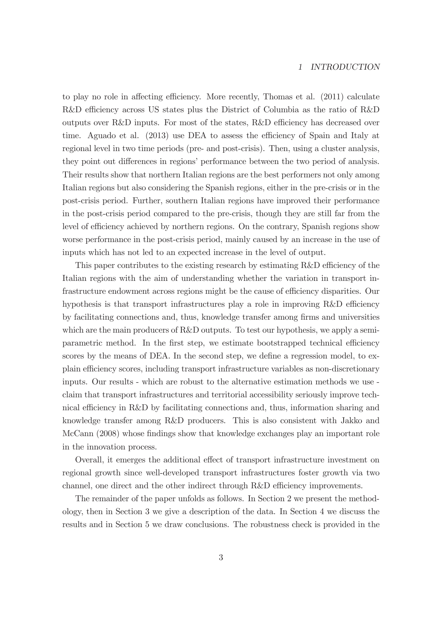#### 1 INTRODUCTION

to play no role in affecting efficiency. More recently, Thomas et al. (2011) calculate R&D efficiency across US states plus the District of Columbia as the ratio of R&D outputs over R&D inputs. For most of the states, R&D efficiency has decreased over time. Aguado et al. (2013) use DEA to assess the efficiency of Spain and Italy at regional level in two time periods (pre- and post-crisis). Then, using a cluster analysis, they point out differences in regions' performance between the two period of analysis. Their results show that northern Italian regions are the best performers not only among Italian regions but also considering the Spanish regions, either in the pre-crisis or in the post-crisis period. Further, southern Italian regions have improved their performance in the post-crisis period compared to the pre-crisis, though they are still far from the level of efficiency achieved by northern regions. On the contrary, Spanish regions show worse performance in the post-crisis period, mainly caused by an increase in the use of inputs which has not led to an expected increase in the level of output.

This paper contributes to the existing research by estimating R&D efficiency of the Italian regions with the aim of understanding whether the variation in transport infrastructure endowment across regions might be the cause of efficiency disparities. Our hypothesis is that transport infrastructures play a role in improving R&D efficiency by facilitating connections and, thus, knowledge transfer among firms and universities which are the main producers of R&D outputs. To test our hypothesis, we apply a semiparametric method. In the first step, we estimate bootstrapped technical efficiency scores by the means of DEA. In the second step, we define a regression model, to explain efficiency scores, including transport infrastructure variables as non-discretionary inputs. Our results - which are robust to the alternative estimation methods we use claim that transport infrastructures and territorial accessibility seriously improve technical efficiency in R&D by facilitating connections and, thus, information sharing and knowledge transfer among R&D producers. This is also consistent with Jakko and McCann (2008) whose findings show that knowledge exchanges play an important role in the innovation process.

Overall, it emerges the additional effect of transport infrastructure investment on regional growth since well-developed transport infrastructures foster growth via two channel, one direct and the other indirect through R&D efficiency improvements.

The remainder of the paper unfolds as follows. In Section 2 we present the methodology, then in Section 3 we give a description of the data. In Section 4 we discuss the results and in Section 5 we draw conclusions. The robustness check is provided in the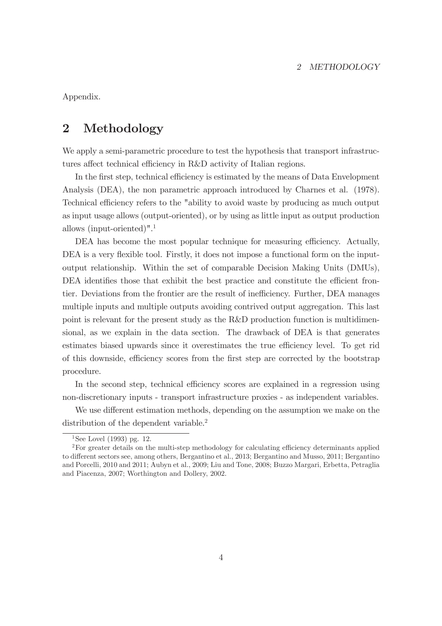#### 2 METHODOLOGY

Appendix.

# 2 Methodology

We apply a semi-parametric procedure to test the hypothesis that transport infrastructures affect technical efficiency in R&D activity of Italian regions.

In the first step, technical efficiency is estimated by the means of Data Envelopment Analysis (DEA), the non parametric approach introduced by Charnes et al. (1978). Technical efficiency refers to the "ability to avoid waste by producing as much output as input usage allows (output-oriented), or by using as little input as output production allows (input-oriented)".<sup>1</sup>

DEA has become the most popular technique for measuring efficiency. Actually, DEA is a very flexible tool. Firstly, it does not impose a functional form on the inputoutput relationship. Within the set of comparable Decision Making Units (DMUs), DEA identifies those that exhibit the best practice and constitute the efficient frontier. Deviations from the frontier are the result of inefficiency. Further, DEA manages multiple inputs and multiple outputs avoiding contrived output aggregation. This last point is relevant for the present study as the R&D production function is multidimensional, as we explain in the data section. The drawback of DEA is that generates estimates biased upwards since it overestimates the true efficiency level. To get rid of this downside, efficiency scores from the first step are corrected by the bootstrap procedure.

In the second step, technical efficiency scores are explained in a regression using non-discretionary inputs - transport infrastructure proxies - as independent variables.

We use different estimation methods, depending on the assumption we make on the distribution of the dependent variable.<sup>2</sup>

<sup>&</sup>lt;sup>1</sup>See Lovel (1993) pg. 12.

<sup>2</sup>For greater details on the multi-step methodology for calculating efficiency determinants applied to different sectors see, among others, Bergantino et al., 2013; Bergantino and Musso, 2011; Bergantino and Porcelli, 2010 and 2011; Aubyn et al., 2009; Liu and Tone, 2008; Buzzo Margari, Erbetta, Petraglia and Piacenza, 2007; Worthington and Dollery, 2002.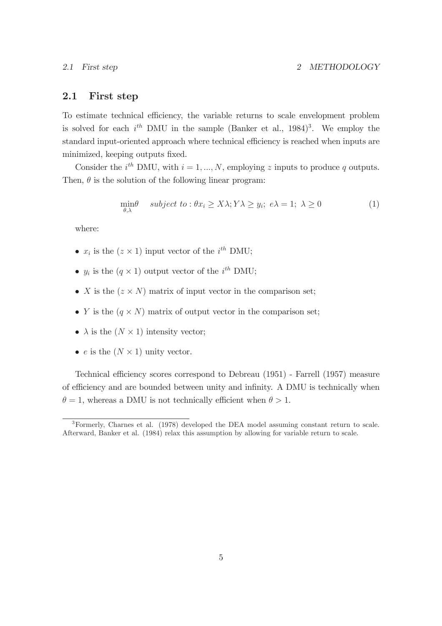### 2.1 First step

To estimate technical efficiency, the variable returns to scale envelopment problem is solved for each  $i^{th}$  DMU in the sample (Banker et al., 1984)<sup>3</sup>. We employ the standard input-oriented approach where technical efficiency is reached when inputs are minimized, keeping outputs fixed.

Consider the  $i^{th}$  DMU, with  $i = 1, ..., N$ , employing z inputs to produce q outputs. Then,  $\theta$  is the solution of the following linear program:

$$
\min_{\theta,\lambda} \quad subject \ to: \theta x_i \ge X\lambda; Y\lambda \ge y_i; \ e\lambda = 1; \ \lambda \ge 0 \tag{1}
$$

where:

- $x_i$  is the  $(z \times 1)$  input vector of the  $i^{th}$  DMU;
- $y_i$  is the  $(q \times 1)$  output vector of the  $i^{th}$  DMU;
- X is the  $(z \times N)$  matrix of input vector in the comparison set;
- Y is the  $(q \times N)$  matrix of output vector in the comparison set;
- $\lambda$  is the  $(N \times 1)$  intensity vector;
- e is the  $(N \times 1)$  unity vector.

Technical efficiency scores correspond to Debreau (1951) - Farrell (1957) measure of efficiency and are bounded between unity and infinity. A DMU is technically when  $\theta = 1$ , whereas a DMU is not technically efficient when  $\theta > 1$ .

<sup>3</sup>Formerly, Charnes et al. (1978) developed the DEA model assuming constant return to scale. Afterward, Banker et al. (1984) relax this assumption by allowing for variable return to scale.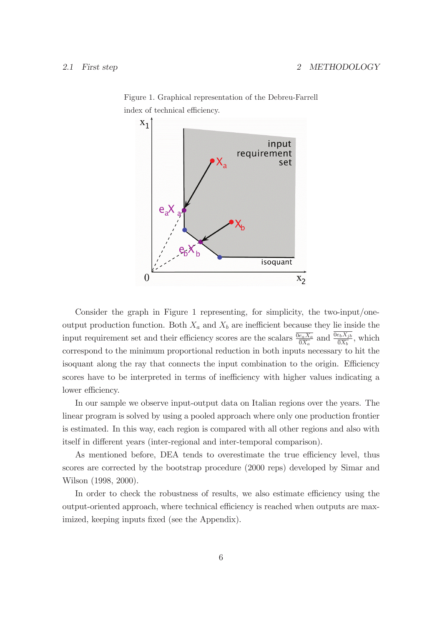

Figure 1. Graphical representation of the Debreu-Farrell index of technical efficiency.

Consider the graph in Figure 1 representing, for simplicity, the two-input/oneoutput production function. Both  $X_a$  and  $X_b$  are inefficient because they lie inside the input requirement set and their efficiency scores are the scalars  $\frac{\overline{0e_a X_a}}{\overline{0X_a}}$  and  $\frac{\overline{0e_b X_{jb}}}{\overline{0X_b}}$ , which correspond to the minimum proportional reduction in both inputs necessary to hit the isoquant along the ray that connects the input combination to the origin. Efficiency scores have to be interpreted in terms of inefficiency with higher values indicating a lower efficiency.

In our sample we observe input-output data on Italian regions over the years. The linear program is solved by using a pooled approach where only one production frontier is estimated. In this way, each region is compared with all other regions and also with itself in different years (inter-regional and inter-temporal comparison).

As mentioned before, DEA tends to overestimate the true efficiency level, thus scores are corrected by the bootstrap procedure (2000 reps) developed by Simar and Wilson (1998, 2000).

In order to check the robustness of results, we also estimate efficiency using the output-oriented approach, where technical efficiency is reached when outputs are maximized, keeping inputs fixed (see the Appendix).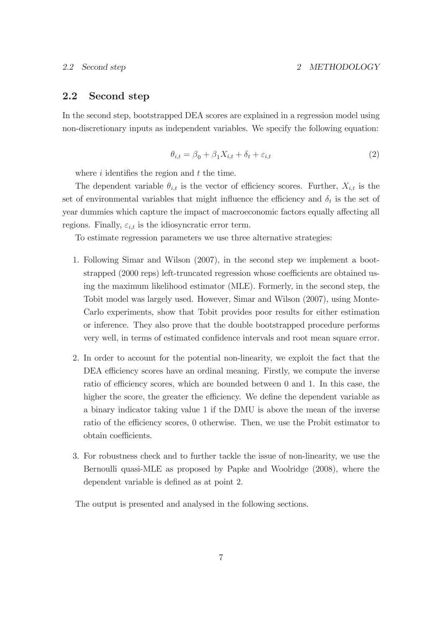## 2.2 Second step

In the second step, bootstrapped DEA scores are explained in a regression model using non-discretionary inputs as independent variables. We specify the following equation:

$$
\theta_{i,t} = \beta_0 + \beta_1 X_{i,t} + \delta_t + \varepsilon_{i,t} \tag{2}
$$

where  $i$  identifies the region and  $t$  the time.

The dependent variable  $\theta_{i,t}$  is the vector of efficiency scores. Further,  $X_{i,t}$  is the set of environmental variables that might influence the efficiency and  $\delta_t$  is the set of year dummies which capture the impact of macroeconomic factors equally affecting all regions. Finally,  $\varepsilon_{i,t}$  is the idiosyncratic error term.

To estimate regression parameters we use three alternative strategies:

- 1. Following Simar and Wilson (2007), in the second step we implement a bootstrapped (2000 reps) left-truncated regression whose coefficients are obtained using the maximum likelihood estimator (MLE). Formerly, in the second step, the Tobit model was largely used. However, Simar and Wilson (2007), using Monte-Carlo experiments, show that Tobit provides poor results for either estimation or inference. They also prove that the double bootstrapped procedure performs very well, in terms of estimated confidence intervals and root mean square error.
- 2. In order to account for the potential non-linearity, we exploit the fact that the DEA efficiency scores have an ordinal meaning. Firstly, we compute the inverse ratio of efficiency scores, which are bounded between 0 and 1. In this case, the higher the score, the greater the efficiency. We define the dependent variable as a binary indicator taking value 1 if the DMU is above the mean of the inverse ratio of the efficiency scores, 0 otherwise. Then, we use the Probit estimator to obtain coefficients.
- 3. For robustness check and to further tackle the issue of non-linearity, we use the Bernoulli quasi-MLE as proposed by Papke and Woolridge (2008), where the dependent variable is defined as at point 2.

The output is presented and analysed in the following sections.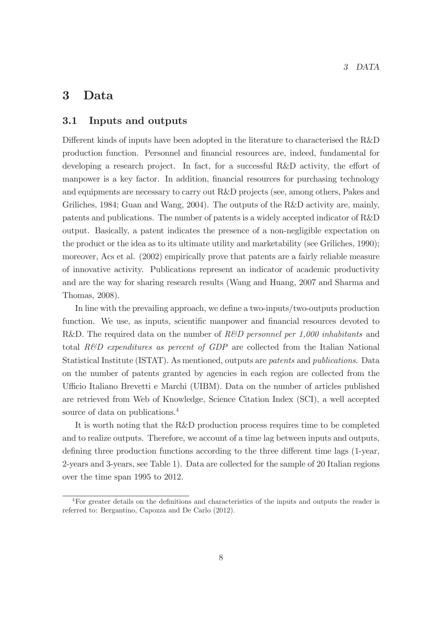# 3 Data

### 3.1 Inputs and outputs

Different kinds of inputs have been adopted in the literature to characterised the R&D production function. Personnel and financial resources are, indeed, fundamental for developing a research project. In fact, for a successful R&D activity, the effort of manpower is a key factor. In addition, financial resources for purchasing technology and equipments are necessary to carry out R&D projects (see, among others, Pakes and Griliches, 1984; Guan and Wang, 2004). The outputs of the R&D activity are, mainly, patents and publications. The number of patents is a widely accepted indicator of R&D output. Basically, a patent indicates the presence of a non-negligible expectation on the product or the idea as to its ultimate utility and marketability (see Griliches, 1990); moreover, Acs et al. (2002) empirically prove that patents are a fairly reliable measure of innovative activity. Publications represent an indicator of academic productivity and are the way for sharing research results (Wang and Huang, 2007 and Sharma and Thomas, 2008).

In line with the prevailing approach, we define a two-inputs/two-outputs production function. We use, as inputs, scientific manpower and financial resources devoted to R&D. The required data on the number of R&D personnel per 1,000 inhabitants and total R&D expenditures as percent of GDP are collected from the Italian National Statistical Institute (ISTAT). As mentioned, outputs are patents and publications. Data on the number of patents granted by agencies in each region are collected from the Ufficio Italiano Brevetti e Marchi (UIBM). Data on the number of articles published are retrieved from Web of Knowledge, Science Citation Index (SCI), a well accepted source of data on publications.<sup>4</sup>

It is worth noting that the R&D production process requires time to be completed and to realize outputs. Therefore, we account of a time lag between inputs and outputs, defining three production functions according to the three different time lags (1-year, 2-years and 3-years, see Table 1). Data are collected for the sample of 20 Italian regions over the time span 1995 to 2012.

<sup>&</sup>lt;sup>4</sup>For greater details on the definitions and characteristics of the inputs and outputs the reader is referred to: Bergantino, Capozza and De Carlo (2012).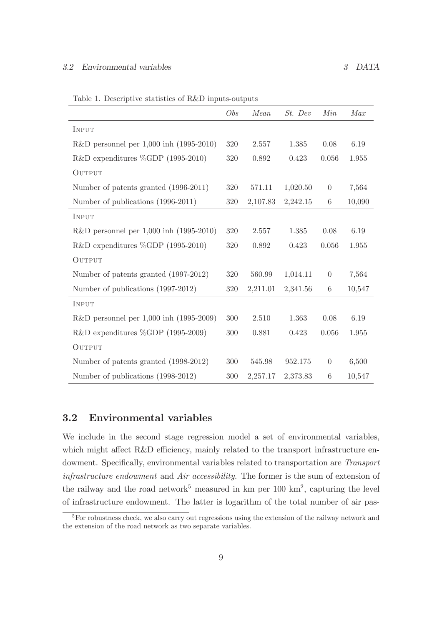|  |  |  |  |  | Table 1. Descriptive statistics of R&D inputs-outputs |
|--|--|--|--|--|-------------------------------------------------------|
|--|--|--|--|--|-------------------------------------------------------|

|                                             | Obs | Mean     | St. Dev  | Min              | Max    |
|---------------------------------------------|-----|----------|----------|------------------|--------|
| INPUT                                       |     |          |          |                  |        |
| R&D personnel per $1,000$ inh $(1995-2010)$ | 320 | 2.557    | 1.385    | 0.08             | 6.19   |
| R&D expenditures $\%GDP$ (1995-2010)        | 320 | 0.892    | 0.423    | 0.056            | 1.955  |
| OUTPUT                                      |     |          |          |                  |        |
| Number of patents granted (1996-2011)       | 320 | 571.11   | 1,020.50 | $\boldsymbol{0}$ | 7,564  |
| Number of publications (1996-2011)          | 320 | 2,107.83 | 2,242.15 | 6                | 10,090 |
| INPUT                                       |     |          |          |                  |        |
| $R&D$ personnel per 1,000 inh (1995-2010)   | 320 | 2.557    | 1.385    | 0.08             | 6.19   |
| R&D expenditures $\%GDP$ (1995-2010)        | 320 | 0.892    | 0.423    | 0.056            | 1.955  |
| OUTPUT                                      |     |          |          |                  |        |
| Number of patents granted (1997-2012)       | 320 | 560.99   | 1,014.11 | $\theta$         | 7,564  |
| Number of publications (1997-2012)          | 320 | 2,211.01 | 2,341.56 | $\,6$            | 10,547 |
| INPUT                                       |     |          |          |                  |        |
| $R&D$ personnel per 1,000 inh (1995-2009)   | 300 | 2.510    | 1.363    | 0.08             | 6.19   |
| R&D expenditures %GDP (1995-2009)           | 300 | 0.881    | 0.423    | 0.056            | 1.955  |
| OUTPUT                                      |     |          |          |                  |        |
| Number of patents granted (1998-2012)       | 300 | 545.98   | 952.175  | $\boldsymbol{0}$ | 6,500  |
| Number of publications (1998-2012)          | 300 | 2,257.17 | 2,373.83 | $\,6$            | 10,547 |

# 3.2 Environmental variables

We include in the second stage regression model a set of environmental variables, which might affect R&D efficiency, mainly related to the transport infrastructure endowment. Specifically, environmental variables related to transportation are Transport infrastructure endowment and Air accessibility. The former is the sum of extension of the railway and the road network<sup>5</sup> measured in km per  $100 \text{ km}^2$ , capturing the level of infrastructure endowment. The latter is logarithm of the total number of air pas-

<sup>&</sup>lt;sup>5</sup>For robustness check, we also carry out regressions using the extension of the railway network and the extension of the road network as two separate variables.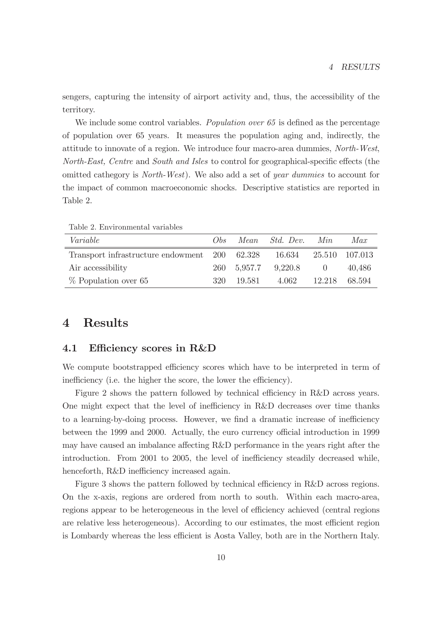sengers, capturing the intensity of airport activity and, thus, the accessibility of the territory.

We include some control variables. *Population over*  $65$  is defined as the percentage of population over 65 years. It measures the population aging and, indirectly, the attitude to innovate of a region. We introduce four macro-area dummies, North-West, North-East, Centre and South and Isles to control for geographical-specific effects (the omitted cathegory is North-West). We also add a set of year dummies to account for the impact of common macroeconomic shocks. Descriptive statistics are reported in Table 2.

| $\blacksquare$                                                      |     |                       |        |
|---------------------------------------------------------------------|-----|-----------------------|--------|
| Variable                                                            | Obs | Mean Std. Dev. Min    | Max    |
| Transport infrastructure endowment 200 62.328 16.634 25.510 107.013 |     |                       |        |
| Air accessibility                                                   |     | 260 5.957.7 9.220.8 0 | 40,486 |

Table 2. Environmental variables

# 4 Results

### 4.1 Efficiency scores in R&D

We compute bootstrapped efficiency scores which have to be interpreted in term of inefficiency (i.e. the higher the score, the lower the efficiency).

% Population over 65 320 19.581 4.062 12.218 68.594

Figure 2 shows the pattern followed by technical efficiency in R&D across years. One might expect that the level of inefficiency in R&D decreases over time thanks to a learning-by-doing process. However, we find a dramatic increase of inefficiency between the 1999 and 2000. Actually, the euro currency official introduction in 1999 may have caused an imbalance affecting R&D performance in the years right after the introduction. From 2001 to 2005, the level of inefficiency steadily decreased while, henceforth, R&D inefficiency increased again.

Figure 3 shows the pattern followed by technical efficiency in R&D across regions. On the x-axis, regions are ordered from north to south. Within each macro-area, regions appear to be heterogeneous in the level of efficiency achieved (central regions are relative less heterogeneous). According to our estimates, the most efficient region is Lombardy whereas the less efficient is Aosta Valley, both are in the Northern Italy.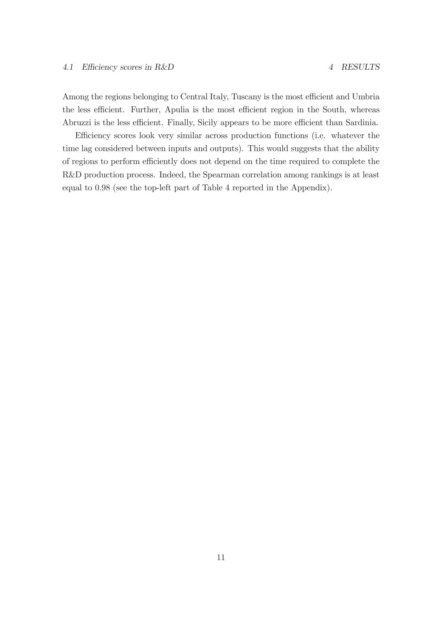Among the regions belonging to Central Italy, Tuscany is the most efficient and Umbria the less efficient. Further, Apulia is the most efficient region in the South, whereas Abruzzi is the less efficient. Finally, Sicily appears to be more efficient than Sardinia.

Efficiency scores look very similar across production functions (i.e. whatever the time lag considered between inputs and outputs). This would suggests that the ability of regions to perform efficiently does not depend on the time required to complete the R&D production process. Indeed, the Spearman correlation among rankings is at least equal to 0.98 (see the top-left part of Table 4 reported in the Appendix).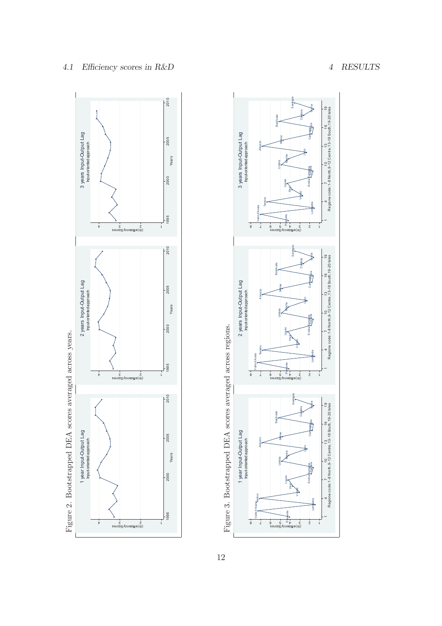



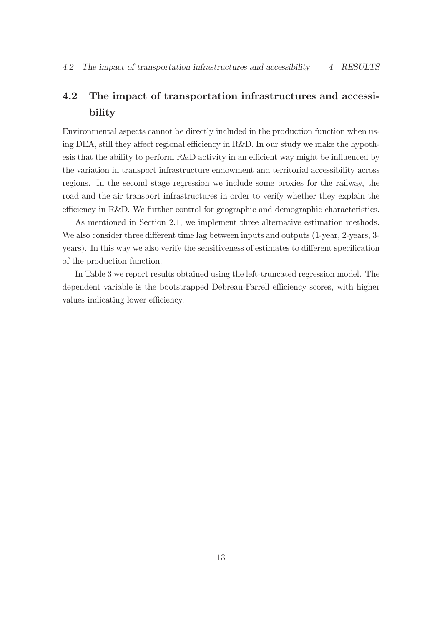# 4.2 The impact of transportation infrastructures and accessibility

Environmental aspects cannot be directly included in the production function when using DEA, still they affect regional efficiency in R&D. In our study we make the hypothesis that the ability to perform R&D activity in an efficient way might be influenced by the variation in transport infrastructure endowment and territorial accessibility across regions. In the second stage regression we include some proxies for the railway, the road and the air transport infrastructures in order to verify whether they explain the efficiency in R&D. We further control for geographic and demographic characteristics.

As mentioned in Section 2.1, we implement three alternative estimation methods. We also consider three different time lag between inputs and outputs (1-year, 2-years, 3years). In this way we also verify the sensitiveness of estimates to different specification of the production function.

In Table 3 we report results obtained using the left-truncated regression model. The dependent variable is the bootstrapped Debreau-Farrell efficiency scores, with higher values indicating lower efficiency.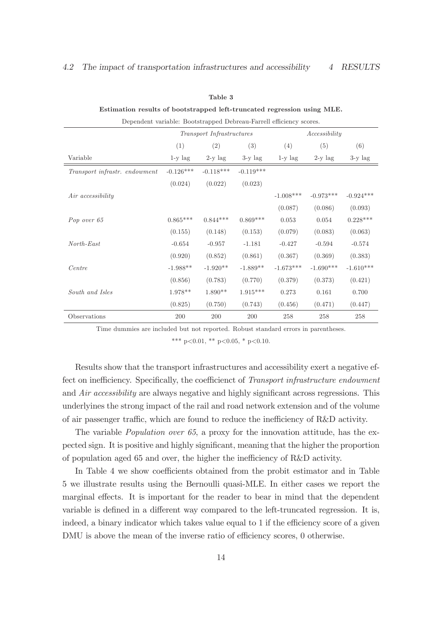#### 4.2 The impact of transportation infrastructures and accessibility 4 RESULTS

#### Table 3

#### Estimation results of bootstrapped left-truncated regression using MLE.

| Dependent variable: Bootstrapped Debreau-Farrell efficiency scores. |             |             |             |             |             |             |  |  |
|---------------------------------------------------------------------|-------------|-------------|-------------|-------------|-------------|-------------|--|--|
| Transport Infrastructures<br>Accessibility                          |             |             |             |             |             |             |  |  |
|                                                                     | (1)         | (2)         | (3)         | (4)         | (5)         | (6)         |  |  |
| Variable                                                            | $1-y$ lag   | $2-y$ lag   | $3-y$ lag   | $1-y$ lag   | $2-y$ lag   | $3-y$ lag   |  |  |
| Transport infrastr. endowment                                       | $-0.126***$ | $-0.118***$ | $-0.119***$ |             |             |             |  |  |
|                                                                     | (0.024)     | (0.022)     | (0.023)     |             |             |             |  |  |
| Air accessibility                                                   |             |             |             | $-1.008***$ | $-0.973***$ | $-0.924***$ |  |  |
|                                                                     |             |             |             | (0.087)     | (0.086)     | (0.093)     |  |  |
| Pop over 65                                                         | $0.865***$  | $0.844***$  | $0.869***$  | 0.053       | 0.054       | $0.228***$  |  |  |
|                                                                     | (0.155)     | (0.148)     | (0.153)     | (0.079)     | (0.083)     | (0.063)     |  |  |
| $North\text{-}East$                                                 | $-0.654$    | $-0.957$    | $-1.181$    | $-0.427$    | $-0.594$    | $-0.574$    |  |  |
|                                                                     | (0.920)     | (0.852)     | (0.861)     | (0.367)     | (0.369)     | (0.383)     |  |  |
| Centre                                                              | $-1.988**$  | $-1.920**$  | $-1.889**$  | $-1.673***$ | $-1.690***$ | $-1.610***$ |  |  |
|                                                                     | (0.856)     | (0.783)     | (0.770)     | (0.379)     | (0.373)     | (0.421)     |  |  |
| South and Isles                                                     | $1.978**$   | $1.890**$   | $1.915***$  | 0.273       | 0.161       | 0.700       |  |  |
|                                                                     | (0.825)     | (0.750)     | (0.743)     | (0.456)     | (0.471)     | (0.447)     |  |  |
| Observations                                                        | 200         | 200         | 200         | 258         | 258         | 258         |  |  |

Time dummies are included but not reported. Robust standard errors in parentheses.

\*\*\* p<0.01, \*\* p<0.05, \* p<0.10.

Results show that the transport infrastructures and accessibility exert a negative effect on inefficiency. Specifically, the coefficienct of Transport infrastructure endowment and Air accessibility are always negative and highly significant across regressions. This underlyines the strong impact of the rail and road network extension and of the volume of air passenger traffic, which are found to reduce the inefficiency of R&D activity.

The variable *Population over 65*, a proxy for the innovation attitude, has the expected sign. It is positive and highly significant, meaning that the higher the proportion of population aged 65 and over, the higher the inefficiency of R&D activity.

In Table 4 we show coefficients obtained from the probit estimator and in Table 5 we illustrate results using the Bernoulli quasi-MLE. In either cases we report the marginal effects. It is important for the reader to bear in mind that the dependent variable is defined in a different way compared to the left-truncated regression. It is, indeed, a binary indicator which takes value equal to 1 if the efficiency score of a given DMU is above the mean of the inverse ratio of efficiency scores, 0 otherwise.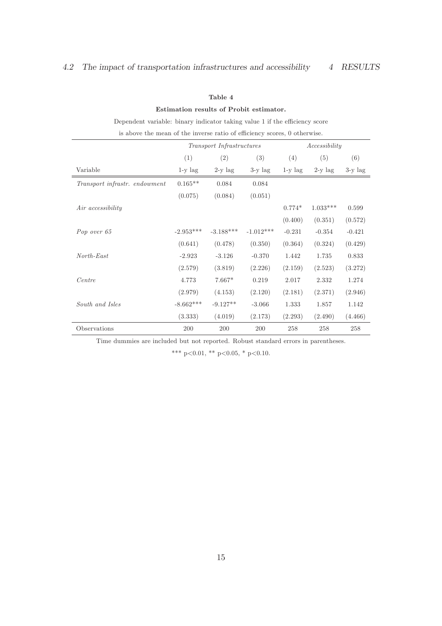#### Estimation results of Probit estimator.

| Dependent variable: binary indicator taking value 1 if the efficiency score |             |                           |             |               |            |           |  |
|-----------------------------------------------------------------------------|-------------|---------------------------|-------------|---------------|------------|-----------|--|
| is above the mean of the inverse ratio of efficiency scores, 0 otherwise.   |             |                           |             |               |            |           |  |
|                                                                             |             | Transport Infrastructures |             | Accessibility |            |           |  |
|                                                                             | (1)         | (2)                       | (3)         | (4)           | (5)        | (6)       |  |
| Variable                                                                    | $1-y$ lag   | $2-y$ lag                 | $3-y$ lag   | $1-y$ lag     | $2-y$ lag  | $3-y$ lag |  |
| Transport infrastr. endowment                                               | $0.165**$   | 0.084                     | 0.084       |               |            |           |  |
|                                                                             | (0.075)     | (0.084)                   | (0.051)     |               |            |           |  |
| Air accessibility                                                           |             |                           |             | $0.774*$      | $1.033***$ | 0.599     |  |
|                                                                             |             |                           |             | (0.400)       | (0.351)    | (0.572)   |  |
| Pop over 65                                                                 | $-2.953***$ | $-3.188***$               | $-1.012***$ | $-0.231$      | $-0.354$   | $-0.421$  |  |
|                                                                             | (0.641)     | (0.478)                   | (0.350)     | (0.364)       | (0.324)    | (0.429)   |  |
| $North\text{-}East$                                                         | $-2.923$    | $-3.126$                  | $-0.370$    | 1.442         | 1.735      | 0.833     |  |
|                                                                             | (2.579)     | (3.819)                   | (2.226)     | (2.159)       | (2.523)    | (3.272)   |  |
| Centre                                                                      | 4.773       | $7.667*$                  | 0.219       | 2.017         | 2.332      | 1.274     |  |
|                                                                             | (2.979)     | (4.153)                   | (2.120)     | (2.181)       | (2.371)    | (2.946)   |  |
| South and Isles                                                             | $-8.662***$ | $-9.127**$                | $-3.066$    | 1.333         | 1.857      | 1.142     |  |
|                                                                             | (3.333)     | (4.019)                   | (2.173)     | (2.293)       | (2.490)    | (4.466)   |  |
| Observations                                                                | 200         | 200                       | 200         | 258           | 258        | 258       |  |

Time dummies are included but not reported. Robust standard errors in parentheses.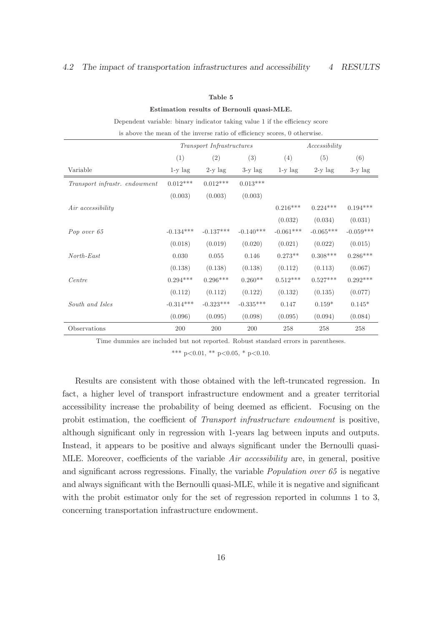#### Estimation results of Bernouli quasi-MLE.

Dependent variable: binary indicator taking value 1 if the efficiency score

|                               |             | Transport Infrastructures |             | Accessibility |             |             |  |
|-------------------------------|-------------|---------------------------|-------------|---------------|-------------|-------------|--|
|                               | (1)         | (2)                       | (3)         | (4)           | (5)         | (6)         |  |
| Variable                      | $1-y$ lag   | $2-y$ lag                 | $3-y$ lag   | $1-y$ lag     | $2-y$ lag   | $3-y$ lag   |  |
| Transport infrastr. endowment | $0.012***$  | $0.012***$                | $0.013***$  |               |             |             |  |
|                               | (0.003)     | (0.003)                   | (0.003)     |               |             |             |  |
| Air accessibility             |             |                           |             | $0.216***$    | $0.224***$  | $0.194***$  |  |
|                               |             |                           |             | (0.032)       | (0.034)     | (0.031)     |  |
| Pop over 65                   | $-0.134***$ | $-0.137***$               | $-0.140***$ | $-0.061***$   | $-0.065***$ | $-0.059***$ |  |
|                               | (0.018)     | (0.019)                   | (0.020)     | (0.021)       | (0.022)     | (0.015)     |  |
| $North\text{-}East$           | 0.030       | 0.055                     | 0.146       | $0.273**$     | $0.308***$  | $0.286***$  |  |
|                               | (0.138)     | (0.138)                   | (0.138)     | (0.112)       | (0.113)     | (0.067)     |  |
| Centre                        | $0.294***$  | $0.296***$                | $0.260**$   | $0.512***$    | $0.527***$  | $0.292***$  |  |
|                               | (0.112)     | (0.112)                   | (0.122)     | (0.132)       | (0.135)     | (0.077)     |  |
| South and Isles               | $-0.314***$ | $-0.323***$               | $-0.335***$ | 0.147         | $0.159*$    | $0.145*$    |  |
|                               | (0.096)     | (0.095)                   | (0.098)     | (0.095)       | (0.094)     | (0.084)     |  |
| Observations                  | 200         | 200                       | 200         | 258           | 258         | 258         |  |

Time dummies are included but not reported. Robust standard errors in parentheses.

\*\*\* p<0.01, \*\* p<0.05, \* p<0.10.

Results are consistent with those obtained with the left-truncated regression. In fact, a higher level of transport infrastructure endowment and a greater territorial accessibility increase the probability of being deemed as efficient. Focusing on the probit estimation, the coefficient of Transport infrastructure endowment is positive, although significant only in regression with 1-years lag between inputs and outputs. Instead, it appears to be positive and always significant under the Bernoulli quasi-MLE. Moreover, coefficients of the variable Air accessibility are, in general, positive and significant across regressions. Finally, the variable Population over 65 is negative and always significant with the Bernoulli quasi-MLE, while it is negative and significant with the probit estimator only for the set of regression reported in columns 1 to 3, concerning transportation infrastructure endowment.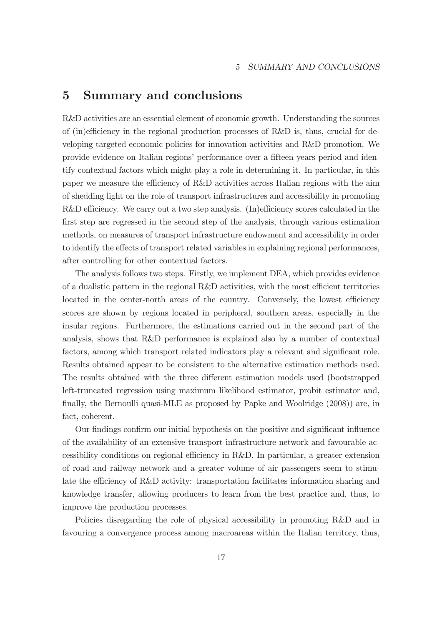# 5 Summary and conclusions

R&D activities are an essential element of economic growth. Understanding the sources of (in)efficiency in the regional production processes of R&D is, thus, crucial for developing targeted economic policies for innovation activities and R&D promotion. We provide evidence on Italian regions' performance over a fifteen years period and identify contextual factors which might play a role in determining it. In particular, in this paper we measure the efficiency of R&D activities across Italian regions with the aim of shedding light on the role of transport infrastructures and accessibility in promoting R&D efficiency. We carry out a two step analysis. (In)efficiency scores calculated in the first step are regressed in the second step of the analysis, through various estimation methods, on measures of transport infrastructure endowment and accessibility in order to identify the effects of transport related variables in explaining regional performances, after controlling for other contextual factors.

The analysis follows two steps. Firstly, we implement DEA, which provides evidence of a dualistic pattern in the regional R&D activities, with the most efficient territories located in the center-north areas of the country. Conversely, the lowest efficiency scores are shown by regions located in peripheral, southern areas, especially in the insular regions. Furthermore, the estimations carried out in the second part of the analysis, shows that R&D performance is explained also by a number of contextual factors, among which transport related indicators play a relevant and significant role. Results obtained appear to be consistent to the alternative estimation methods used. The results obtained with the three different estimation models used (bootstrapped left-truncated regression using maximum likelihood estimator, probit estimator and, finally, the Bernoulli quasi-MLE as proposed by Papke and Woolridge (2008)) are, in fact, coherent.

Our findings confirm our initial hypothesis on the positive and significant influence of the availability of an extensive transport infrastructure network and favourable accessibility conditions on regional efficiency in R&D. In particular, a greater extension of road and railway network and a greater volume of air passengers seem to stimulate the efficiency of R&D activity: transportation facilitates information sharing and knowledge transfer, allowing producers to learn from the best practice and, thus, to improve the production processes.

Policies disregarding the role of physical accessibility in promoting R&D and in favouring a convergence process among macroareas within the Italian territory, thus,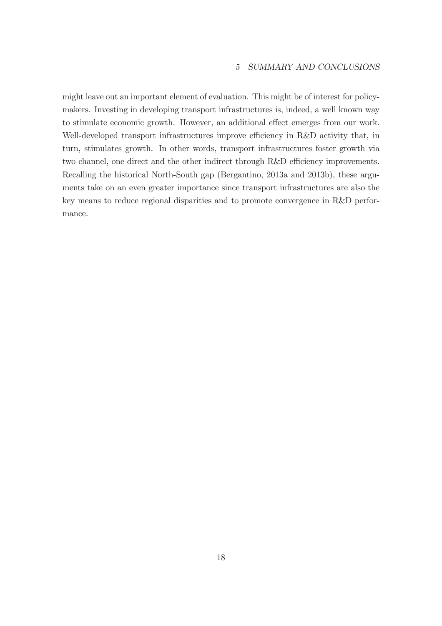might leave out an important element of evaluation. This might be of interest for policymakers. Investing in developing transport infrastructures is, indeed, a well known way to stimulate economic growth. However, an additional effect emerges from our work. Well-developed transport infrastructures improve efficiency in R&D activity that, in turn, stimulates growth. In other words, transport infrastructures foster growth via two channel, one direct and the other indirect through R&D efficiency improvements. Recalling the historical North-South gap (Bergantino, 2013a and 2013b), these arguments take on an even greater importance since transport infrastructures are also the key means to reduce regional disparities and to promote convergence in R&D performance.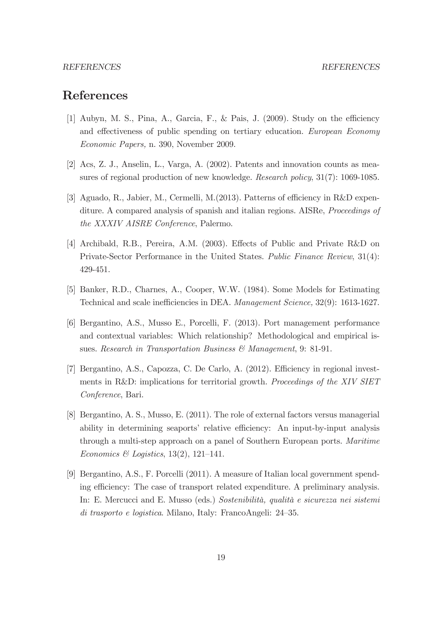#### REFERENCES REFERENCES

# References

- [1] Aubyn, M. S., Pina, A., Garcia, F., & Pais, J. (2009). Study on the efficiency and effectiveness of public spending on tertiary education. European Economy Economic Papers, n. 390, November 2009.
- [2] Acs, Z. J., Anselin, L., Varga, A. (2002). Patents and innovation counts as measures of regional production of new knowledge. Research policy, 31(7): 1069-1085.
- [3] Aguado, R., Jabier, M., Cermelli, M.(2013). Patterns of efficiency in R&D expenditure. A compared analysis of spanish and italian regions. AISRe, Proceedings of the XXXIV AISRE Conference, Palermo.
- [4] Archibald, R.B., Pereira, A.M. (2003). Effects of Public and Private R&D on Private-Sector Performance in the United States. Public Finance Review, 31(4): 429-451.
- [5] Banker, R.D., Charnes, A., Cooper, W.W. (1984). Some Models for Estimating Technical and scale inefficiencies in DEA. Management Science, 32(9): 1613-1627.
- [6] Bergantino, A.S., Musso E., Porcelli, F. (2013). Port management performance and contextual variables: Which relationship? Methodological and empirical issues. Research in Transportation Business & Management, 9: 81-91.
- [7] Bergantino, A.S., Capozza, C. De Carlo, A. (2012). Efficiency in regional investments in R&D: implications for territorial growth. Proceedings of the XIV SIET Conference, Bari.
- [8] Bergantino, A. S., Musso, E. (2011). The role of external factors versus managerial ability in determining seaports' relative efficiency: An input-by-input analysis through a multi-step approach on a panel of Southern European ports. Maritime Economics & Logistics,  $13(2)$ ,  $121-141$ .
- [9] Bergantino, A.S., F. Porcelli (2011). A measure of Italian local government spending efficiency: The case of transport related expenditure. A preliminary analysis. In: E. Mercucci and E. Musso (eds.) Sostenibilità, qualità e sicurezza nei sistemi di trasporto e logistica. Milano, Italy: FrancoAngeli: 24—35.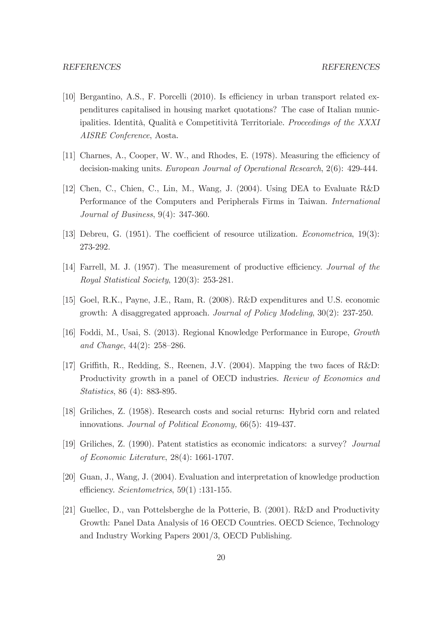- [10] Bergantino, A.S., F. Porcelli (2010). Is efficiency in urban transport related expenditures capitalised in housing market quotations? The case of Italian municipalities. Identità, Qualità e Competitività Territoriale. Proceedings of the XXXI AISRE Conference, Aosta.
- [11] Charnes, A., Cooper, W. W., and Rhodes, E. (1978). Measuring the efficiency of decision-making units. European Journal of Operational Research, 2(6): 429-444.
- [12] Chen, C., Chien, C., Lin, M., Wang, J. (2004). Using DEA to Evaluate R&D Performance of the Computers and Peripherals Firms in Taiwan. International Journal of Business, 9(4): 347-360.
- [13] Debreu, G. (1951). The coefficient of resource utilization. Econometrica, 19(3): 273-292.
- [14] Farrell, M. J. (1957). The measurement of productive efficiency. Journal of the Royal Statistical Society, 120(3): 253-281.
- [15] Goel, R.K., Payne, J.E., Ram, R. (2008). R&D expenditures and U.S. economic growth: A disaggregated approach. Journal of Policy Modeling, 30(2): 237-250.
- [16] Foddi, M., Usai, S. (2013). Regional Knowledge Performance in Europe, Growth and Change, 44(2): 258—286.
- [17] Griffith, R., Redding, S., Reenen, J.V. (2004). Mapping the two faces of R&D: Productivity growth in a panel of OECD industries. Review of Economics and Statistics, 86 (4): 883-895.
- [18] Griliches, Z. (1958). Research costs and social returns: Hybrid corn and related innovations. Journal of Political Economy, 66(5): 419-437.
- [19] Griliches, Z. (1990). Patent statistics as economic indicators: a survey? Journal of Economic Literature, 28(4): 1661-1707.
- [20] Guan, J., Wang, J. (2004). Evaluation and interpretation of knowledge production efficiency. Scientometrics, 59(1) :131-155.
- [21] Guellec, D., van Pottelsberghe de la Potterie, B. (2001). R&D and Productivity Growth: Panel Data Analysis of 16 OECD Countries. OECD Science, Technology and Industry Working Papers 2001/3, OECD Publishing.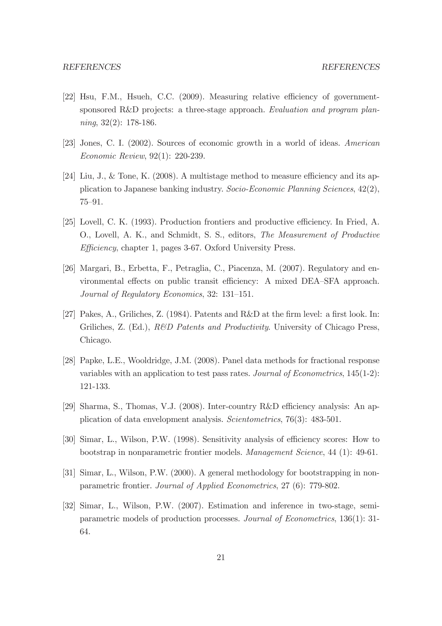- [22] Hsu, F.M., Hsueh, C.C. (2009). Measuring relative efficiency of governmentsponsored R&D projects: a three-stage approach. Evaluation and program plan $ning, 32(2): 178-186.$
- [23] Jones, C. I. (2002). Sources of economic growth in a world of ideas. American Economic Review, 92(1): 220-239.
- [24] Liu, J., & Tone, K. (2008). A multistage method to measure efficiency and its application to Japanese banking industry. Socio-Economic Planning Sciences, 42(2), 75—91.
- [25] Lovell, C. K. (1993). Production frontiers and productive efficiency. In Fried, A. O., Lovell, A. K., and Schmidt, S. S., editors, The Measurement of Productive Efficiency, chapter 1, pages 3-67. Oxford University Press.
- [26] Margari, B., Erbetta, F., Petraglia, C., Piacenza, M. (2007). Regulatory and environmental effects on public transit efficiency: A mixed DEA—SFA approach. Journal of Regulatory Economics, 32: 131—151.
- [27] Pakes, A., Griliches, Z. (1984). Patents and R&D at the firm level: a first look. In: Griliches, Z. (Ed.), *R&D Patents and Productivity*. University of Chicago Press, Chicago.
- [28] Papke, L.E., Wooldridge, J.M. (2008). Panel data methods for fractional response variables with an application to test pass rates. Journal of Econometrics, 145(1-2): 121-133.
- [29] Sharma, S., Thomas, V.J. (2008). Inter-country R&D efficiency analysis: An application of data envelopment analysis. Scientometrics, 76(3): 483-501.
- [30] Simar, L., Wilson, P.W. (1998). Sensitivity analysis of efficiency scores: How to bootstrap in nonparametric frontier models. Management Science, 44 (1): 49-61.
- [31] Simar, L., Wilson, P.W. (2000). A general methodology for bootstrapping in nonparametric frontier. Journal of Applied Econometrics, 27 (6): 779-802.
- [32] Simar, L., Wilson, P.W. (2007). Estimation and inference in two-stage, semiparametric models of production processes. Journal of Econometrics, 136(1): 31- 64.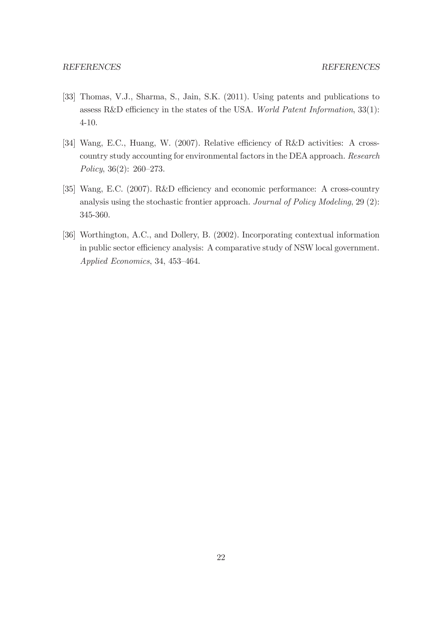- [33] Thomas, V.J., Sharma, S., Jain, S.K. (2011). Using patents and publications to assess R&D efficiency in the states of the USA. World Patent Information, 33(1): 4-10.
- [34] Wang, E.C., Huang, W. (2007). Relative efficiency of R&D activities: A crosscountry study accounting for environmental factors in the DEA approach. Research Policy, 36(2): 260—273.
- [35] Wang, E.C. (2007). R&D efficiency and economic performance: A cross-country analysis using the stochastic frontier approach. Journal of Policy Modeling, 29 (2): 345-360.
- [36] Worthington, A.C., and Dollery, B. (2002). Incorporating contextual information in public sector efficiency analysis: A comparative study of NSW local government. Applied Economics, 34, 453—464.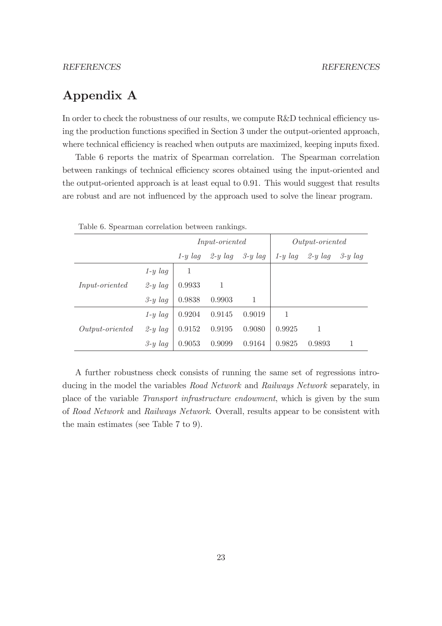# Appendix A

In order to check the robustness of our results, we compute R&D technical efficiency using the production functions specified in Section 3 under the output-oriented approach, where technical efficiency is reached when outputs are maximized, keeping inputs fixed.

Table 6 reports the matrix of Spearman correlation. The Spearman correlation between rankings of technical efficiency scores obtained using the input-oriented and the output-oriented approach is at least equal to 0.91. This would suggest that results are robust and are not influenced by the approach used to solve the linear program.

| Table 0. Spearman correlation between rainkings. |           |                       |           |              |                   |           |           |  |
|--------------------------------------------------|-----------|-----------------------|-----------|--------------|-------------------|-----------|-----------|--|
|                                                  |           | <i>Input-oriented</i> |           |              | $Output-oriented$ |           |           |  |
|                                                  |           | $1-y \, laq$          | $2-y$ lag | $3-y \,$ lag | $1-y$ lag         | $2-y$ lag | $3-y$ lag |  |
|                                                  | $1-y$ lag | 1                     |           |              |                   |           |           |  |
| <i>Input-oriented</i>                            | $2-y$ lag | 0.9933                | 1         |              |                   |           |           |  |
|                                                  | $3-y$ lag | 0.9838                | 0.9903    | 1            |                   |           |           |  |
|                                                  | $1-y$ lag | 0.9204                | 0.9145    | 0.9019       |                   |           |           |  |
| $Output-oriented$                                | $2-y$ lag | 0.9152                | 0.9195    | 0.9080       | 0.9925            | 1         |           |  |
|                                                  | $3-y$ lag | 0.9053                | 0.9099    | 0.9164       | 0.9825            | 0.9893    |           |  |

Table 6. Spearman correlation between rankings.

A further robustness check consists of running the same set of regressions introducing in the model the variables Road Network and Railways Network separately, in place of the variable Transport infrastructure endowment, which is given by the sum of Road Network and Railways Network. Overall, results appear to be consistent with the main estimates (see Table 7 to 9).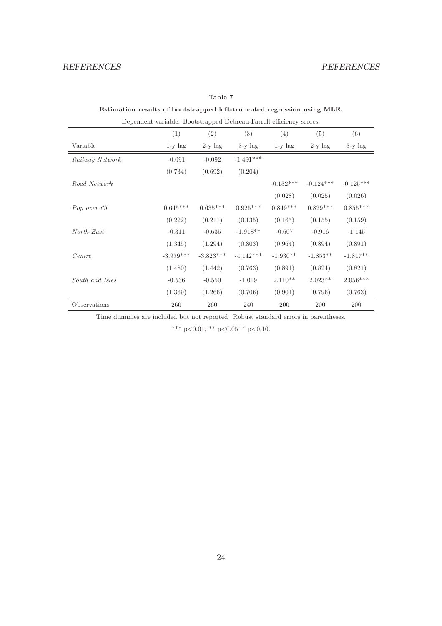### Estimation results of bootstrapped left-truncated regression using MLE.

| Dependent variable: Bootstrapped Debreau-Farrell efficiency scores. |             |             |             |             |             |             |  |
|---------------------------------------------------------------------|-------------|-------------|-------------|-------------|-------------|-------------|--|
|                                                                     | (1)         | (2)         | (3)         | (4)         | (5)         | (6)         |  |
| Variable                                                            | $1-y$ lag   | $2-y$ lag   | $3-y$ lag   | $1-y$ lag   | $2-y$ lag   | $3-y$ lag   |  |
| Railway Network                                                     | $-0.091$    | $-0.092$    | $-1.491***$ |             |             |             |  |
|                                                                     | (0.734)     | (0.692)     | (0.204)     |             |             |             |  |
| Road Network                                                        |             |             |             | $-0.132***$ | $-0.124***$ | $-0.125***$ |  |
|                                                                     |             |             |             | (0.028)     | (0.025)     | (0.026)     |  |
| Pop over 65                                                         | $0.645***$  | $0.635***$  | $0.925***$  | $0.849***$  | $0.829***$  | $0.855***$  |  |
|                                                                     | (0.222)     | (0.211)     | (0.135)     | (0.165)     | (0.155)     | (0.159)     |  |
| $North\text{-}East$                                                 | $-0.311$    | $-0.635$    | $-1.918**$  | $-0.607$    | $-0.916$    | $-1.145$    |  |
|                                                                     | (1.345)     | (1.294)     | (0.803)     | (0.964)     | (0.894)     | (0.891)     |  |
| Centre                                                              | $-3.979***$ | $-3.823***$ | $-4.142***$ | $-1.930**$  | $-1.853**$  | $-1.817**$  |  |
|                                                                     | (1.480)     | (1.442)     | (0.763)     | (0.891)     | (0.824)     | (0.821)     |  |
| South and Isles                                                     | $-0.536$    | $-0.550$    | $-1.019$    | $2.110**$   | $2.023**$   | $2.056***$  |  |
|                                                                     | (1.369)     | (1.266)     | (0.706)     | (0.901)     | (0.796)     | (0.763)     |  |
| Observations                                                        | 260         | 260         | 240         | 200         | 200         | 200         |  |

Time dummies are included but not reported. Robust standard errors in parentheses.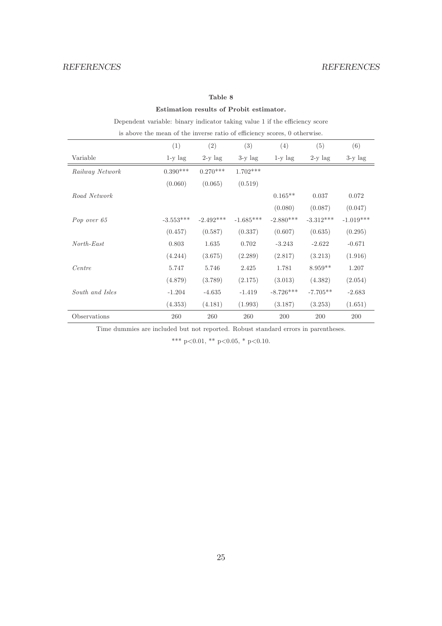### Estimation results of Probit estimator.

Dependent variable: binary indicator taking value 1 if the efficiency score

is above the mean of the inverse ratio of efficiency scores, 0 otherwise.

|                 | (1)         | (2)         | (3)         | (4)         | (5)         | (6)         |
|-----------------|-------------|-------------|-------------|-------------|-------------|-------------|
| Variable        | $1-y$ lag   | $2-y$ lag   | $3-y$ lag   | $1-y$ lag   | $2-y$ lag   | $3-y$ lag   |
| Railway Network | $0.390***$  | $0.270***$  | $1.702***$  |             |             |             |
|                 | (0.060)     | (0.065)     | (0.519)     |             |             |             |
| Road Network    |             |             |             | $0.165**$   | 0.037       | 0.072       |
|                 |             |             |             | (0.080)     | (0.087)     | (0.047)     |
| Pop over 65     | $-3.553***$ | $-2.492***$ | $-1.685***$ | $-2.880***$ | $-3.312***$ | $-1.019***$ |
|                 | (0.457)     | (0.587)     | (0.337)     | (0.607)     | (0.635)     | (0.295)     |
| North-East      | 0.803       | 1.635       | 0.702       | $-3.243$    | $-2.622$    | $-0.671$    |
|                 | (4.244)     | (3.675)     | (2.289)     | (2.817)     | (3.213)     | (1.916)     |
| Centre          | 5.747       | 5.746       | 2.425       | 1.781       | $8.959**$   | 1.207       |
|                 | (4.879)     | (3.789)     | (2.175)     | (3.013)     | (4.382)     | (2.054)     |
| South and Isles | $-1.204$    | $-4.635$    | $-1.419$    | $-8.726***$ | $-7.705**$  | $-2.683$    |
|                 | (4.353)     | (4.181)     | (1.993)     | (3.187)     | (3.253)     | (1.651)     |
| Observations    | 260         | 260         | 260         | 200         | 200         | 200         |

Time dummies are included but not reported. Robust standard errors in parentheses.